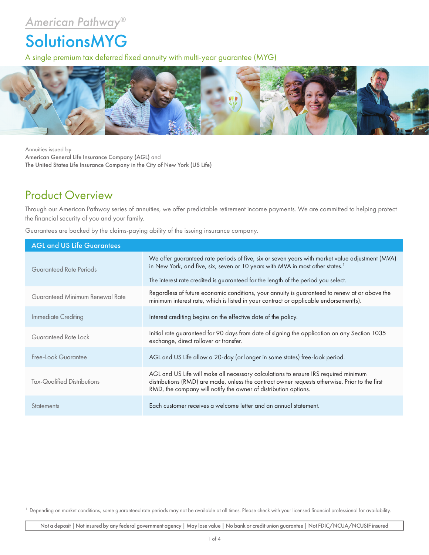## *American Pathway®*

## SolutionsMYG

A single premium tax deferred fixed annuity with multi-year guarantee (MYG)



Annuities issued by American General Life Insurance Company (AGL) and The United States Life Insurance Company in the City of New York (US Life)

## Product Overview

Through our American Pathway series of annuities, we offer predictable retirement income payments. We are committed to helping protect the financial security of you and your family.

Guarantees are backed by the claims-paying ability of the issuing insurance company.

| <b>AGL and US Life Guarantees</b> |                                                                                                                                                                                                                                                          |  |  |  |  |
|-----------------------------------|----------------------------------------------------------------------------------------------------------------------------------------------------------------------------------------------------------------------------------------------------------|--|--|--|--|
| Guaranteed Rate Periods           | We offer guaranteed rate periods of five, six or seven years with market value adjustment (MVA)<br>in New York, and five, six, seven or 10 years with MVA in most other states. <sup>1</sup>                                                             |  |  |  |  |
|                                   | The interest rate credited is guaranteed for the length of the period you select.                                                                                                                                                                        |  |  |  |  |
| Guaranteed Minimum Renewal Rate   | Regardless of future economic conditions, your annuity is guaranteed to renew at or above the<br>minimum interest rate, which is listed in your contract or applicable endorsement(s).                                                                   |  |  |  |  |
| Immediate Crediting               | Interest crediting begins on the effective date of the policy.                                                                                                                                                                                           |  |  |  |  |
| Guaranteed Rate Lock              | Initial rate guaranteed for 90 days from date of signing the application on any Section 1035<br>exchange, direct rollover or transfer.                                                                                                                   |  |  |  |  |
| Free-Look Guarantee               | AGL and US Life allow a 20-day (or longer in some states) free-look period.                                                                                                                                                                              |  |  |  |  |
| Tax-Qualified Distributions       | AGL and US Life will make all necessary calculations to ensure IRS required minimum<br>distributions (RMD) are made, unless the contract owner requests otherwise. Prior to the first<br>RMD, the company will notify the owner of distribution options. |  |  |  |  |
| <b>Statements</b>                 | Each customer receives a welcome letter and an annual statement.                                                                                                                                                                                         |  |  |  |  |

<sup>1</sup> Depending on market conditions, some guaranteed rate periods may not be available at all times. Please check with your licensed financial professional for availability.

Not a deposit | Not insured by any federal government agency | May lose value | No bank or credit union guarantee | Not FDIC/NCUA/NCUSIF insured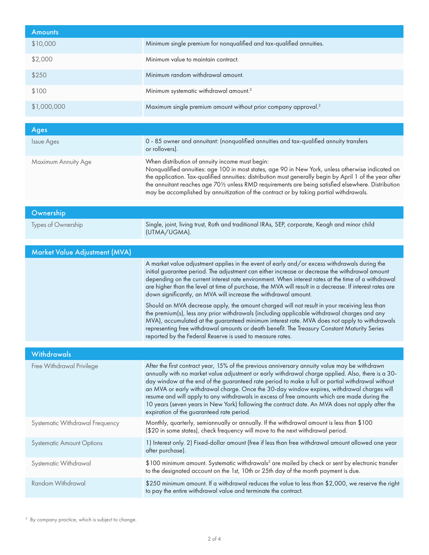| <b>Amounts</b>                   |                                                                                                                                                                                                                                                                                                                                                                                                                                                                                                                                                                                                                                                                                                                                                                                                                                                                                                                                                 |
|----------------------------------|-------------------------------------------------------------------------------------------------------------------------------------------------------------------------------------------------------------------------------------------------------------------------------------------------------------------------------------------------------------------------------------------------------------------------------------------------------------------------------------------------------------------------------------------------------------------------------------------------------------------------------------------------------------------------------------------------------------------------------------------------------------------------------------------------------------------------------------------------------------------------------------------------------------------------------------------------|
| \$10,000                         | Minimum single premium for nonqualified and tax-qualified annuities.                                                                                                                                                                                                                                                                                                                                                                                                                                                                                                                                                                                                                                                                                                                                                                                                                                                                            |
| \$2,000                          | Minimum value to maintain contract.                                                                                                                                                                                                                                                                                                                                                                                                                                                                                                                                                                                                                                                                                                                                                                                                                                                                                                             |
| \$250                            | Minimum random withdrawal amount.                                                                                                                                                                                                                                                                                                                                                                                                                                                                                                                                                                                                                                                                                                                                                                                                                                                                                                               |
| \$100                            | Minimum systematic withdrawal amount. <sup>2</sup>                                                                                                                                                                                                                                                                                                                                                                                                                                                                                                                                                                                                                                                                                                                                                                                                                                                                                              |
| \$1,000,000                      | Maximum single premium amount without prior company approval. <sup>2</sup>                                                                                                                                                                                                                                                                                                                                                                                                                                                                                                                                                                                                                                                                                                                                                                                                                                                                      |
| Ages                             |                                                                                                                                                                                                                                                                                                                                                                                                                                                                                                                                                                                                                                                                                                                                                                                                                                                                                                                                                 |
| <b>Issue Ages</b>                | 0 - 85 owner and annuitant: (nonqualified annuities and tax-qualified annuity transfers<br>or rollovers).                                                                                                                                                                                                                                                                                                                                                                                                                                                                                                                                                                                                                                                                                                                                                                                                                                       |
| Maximum Annuity Age              | When distribution of annuity income must begin:<br>Nonqualified annuities: age 100 in most states, age 90 in New York, unless otherwise indicated on<br>the application. Tax-qualified annuities: distribution must generally begin by April 1 of the year after<br>the annuitant reaches age 70½ unless RMD requirements are being satisfied elsewhere. Distribution<br>may be accomplished by annuitization of the contract or by taking partial withdrawals.                                                                                                                                                                                                                                                                                                                                                                                                                                                                                 |
| Ownership                        |                                                                                                                                                                                                                                                                                                                                                                                                                                                                                                                                                                                                                                                                                                                                                                                                                                                                                                                                                 |
| Types of Ownership               | Single, joint, living trust, Roth and traditional IRAs, SEP, corporate, Keogh and minor child<br>(UTMA/UGMA).                                                                                                                                                                                                                                                                                                                                                                                                                                                                                                                                                                                                                                                                                                                                                                                                                                   |
| Market Value Adjustment (MVA)    |                                                                                                                                                                                                                                                                                                                                                                                                                                                                                                                                                                                                                                                                                                                                                                                                                                                                                                                                                 |
|                                  | A market value adjustment applies in the event of early and/or excess withdrawals during the<br>initial guarantee period. The adjustment can either increase or decrease the withdrawal amount<br>depending on the current interest rate environment. When interest rates at the time of a withdrawal<br>are higher than the level at time of purchase, the MVA will result in a decrease. If interest rates are<br>down significantly, an MVA will increase the withdrawal amount.<br>Should an MVA decrease apply, the amount charged will not result in your receiving less than<br>the premium(s), less any prior withdrawals (including applicable withdrawal charges and any<br>MVA), accumulated at the guaranteed minimum interest rate. MVA does not apply to withdrawals<br>representing free withdrawal amounts or death benefit. The Treasury Constant Maturity Series<br>reported by the Federal Reserve is used to measure rates. |
| <b>Withdrawals</b>               |                                                                                                                                                                                                                                                                                                                                                                                                                                                                                                                                                                                                                                                                                                                                                                                                                                                                                                                                                 |
| Free Withdrawal Privilege        | After the first contract year, 15% of the previous anniversary annuity value may be withdrawn<br>annually with no market value adjustment or early withdrawal charge applied. Also, there is a 30-<br>day window at the end of the guaranteed rate period to make a full or partial withdrawal without<br>an MVA or early withdrawal charge. Once the 30-day window expires, withdrawal charges will<br>resume and will apply to any withdrawals in excess of free amounts which are made during the<br>10 years (seven years in New York) following the contract date. An MVA does not apply after the<br>expiration of the guaranteed rate period.                                                                                                                                                                                                                                                                                            |
| Systematic Withdrawal Frequency  | Monthly, quarterly, semiannually or annually. If the withdrawal amount is less than \$100<br>(\$20 in some states), check frequency will move to the next withdrawal period.                                                                                                                                                                                                                                                                                                                                                                                                                                                                                                                                                                                                                                                                                                                                                                    |
| <b>Systematic Amount Options</b> | 1) Interest only. 2) Fixed-dollar amount (free if less than free withdrawal amount allowed one year<br>after purchase).                                                                                                                                                                                                                                                                                                                                                                                                                                                                                                                                                                                                                                                                                                                                                                                                                         |
| Systematic Withdrawal            | \$100 minimum amount. Systematic withdrawals <sup>2</sup> are mailed by check or sent by electronic transfer<br>to the designated account on the 1st, 10th or 25th day of the month payment is due.                                                                                                                                                                                                                                                                                                                                                                                                                                                                                                                                                                                                                                                                                                                                             |
| Random Withdrawal                | \$250 minimum amount. If a withdrawal reduces the value to less than \$2,000, we reserve the right<br>to pay the entire withdrawal value and terminate the contract.                                                                                                                                                                                                                                                                                                                                                                                                                                                                                                                                                                                                                                                                                                                                                                            |

<sup>2</sup> By company practice, which is subject to change.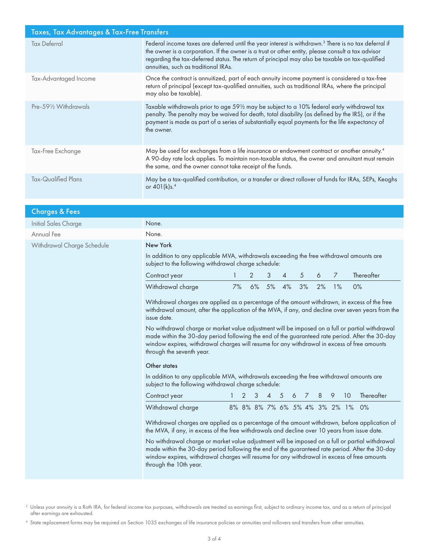| Taxes, Tax Advantages & Tax-Free Transfers |                                                                                                                                                                                                                                                                                                                                                                  |  |  |  |  |
|--------------------------------------------|------------------------------------------------------------------------------------------------------------------------------------------------------------------------------------------------------------------------------------------------------------------------------------------------------------------------------------------------------------------|--|--|--|--|
| <b>Tax Deferral</b>                        | Federal income taxes are deferred until the year interest is withdrawn. <sup>3</sup> There is no tax deferral if<br>the owner is a corporation. If the owner is a trust or other entity, please consult a tax advisor<br>regarding the tax-deferred status. The return of principal may also be taxable on tax-qualified<br>annuities, such as traditional IRAs. |  |  |  |  |
| Tax-Advantaged Income                      | Once the contract is annuitized, part of each annuity income payment is considered a tax-free<br>return of principal (except tax-qualified annuities, such as traditional IRAs, where the principal<br>may also be taxable).                                                                                                                                     |  |  |  |  |
| Pre-591/2 Withdrawals                      | Taxable withdrawals prior to age 591/2 may be subject to a 10% federal early withdrawal tax<br>penalty. The penalty may be waived for death, total disability (as defined by the IRS), or if the<br>payment is made as part of a series of substantially equal payments for the life expectancy of<br>the owner.                                                 |  |  |  |  |
| Tax-Free Exchange                          | May be used for exchanges from a life insurance or endowment contract or another annuity. <sup>4</sup><br>A 90-day rate lock applies. To maintain non-taxable status, the owner and annuitant must remain<br>the same, and the owner cannot take receipt of the funds.                                                                                           |  |  |  |  |
| Tax-Qualified Plans                        | May be a tax-qualified contribution, or a transfer or direct rollover of funds for IRAs, SEPs, Keoghs<br>or 401(k)s. <sup>4</sup>                                                                                                                                                                                                                                |  |  |  |  |

| <b>Charges &amp; Fees</b>  |                                                                                                                                                                                                                                                                                                                                |    |    |                |                                  |          |    |                |                 |            |
|----------------------------|--------------------------------------------------------------------------------------------------------------------------------------------------------------------------------------------------------------------------------------------------------------------------------------------------------------------------------|----|----|----------------|----------------------------------|----------|----|----------------|-----------------|------------|
| Initial Sales Charge       | None.                                                                                                                                                                                                                                                                                                                          |    |    |                |                                  |          |    |                |                 |            |
| Annual Fee                 | None.                                                                                                                                                                                                                                                                                                                          |    |    |                |                                  |          |    |                |                 |            |
| Withdrawal Charge Schedule | New York                                                                                                                                                                                                                                                                                                                       |    |    |                |                                  |          |    |                |                 |            |
|                            | In addition to any applicable MVA, withdrawals exceeding the free withdrawal amounts are<br>subject to the following withdrawal charge schedule:                                                                                                                                                                               |    |    |                |                                  |          |    |                |                 |            |
|                            | Contract year                                                                                                                                                                                                                                                                                                                  |    | 2  | 3              | 4                                | 5        | 6  | $\overline{7}$ |                 | Thereafter |
|                            | Withdrawal charge                                                                                                                                                                                                                                                                                                              | 7% | 6% | 5%             | 4%                               | 3%       | 2% | 1%             |                 | 0%         |
|                            | Withdrawal charges are applied as a percentage of the amount withdrawn, in excess of the free<br>withdrawal amount, after the application of the MVA, if any, and decline over seven years from the<br>issue date.                                                                                                             |    |    |                |                                  |          |    |                |                 |            |
|                            | No withdrawal charge or market value adjustment will be imposed on a full or partial withdrawal<br>made within the 30-day period following the end of the guaranteed rate period. After the 30-day<br>window expires, withdrawal charges will resume for any withdrawal in excess of free amounts<br>through the seventh year. |    |    |                |                                  |          |    |                |                 |            |
|                            | Other states                                                                                                                                                                                                                                                                                                                   |    |    |                |                                  |          |    |                |                 |            |
|                            | In addition to any applicable MVA, withdrawals exceeding the free withdrawal amounts are<br>subject to the following withdrawal charge schedule:                                                                                                                                                                               |    |    |                |                                  |          |    |                |                 |            |
|                            | Contract year                                                                                                                                                                                                                                                                                                                  |    | 3  | $\overline{4}$ | -5<br>6                          | $\prime$ | 8  | 9              | 10 <sup>°</sup> | Thereafter |
|                            | Withdrawal charge                                                                                                                                                                                                                                                                                                              |    |    |                | 8% 8% 8% 7% 6% 5% 4% 3% 2% 1% 0% |          |    |                |                 |            |
|                            | Withdrawal charges are applied as a percentage of the amount withdrawn, before application of<br>the MVA, if any, in excess of the free withdrawals and decline over 10 years from issue date.                                                                                                                                 |    |    |                |                                  |          |    |                |                 |            |
|                            | No withdrawal charge or market value adjustment will be imposed on a full or partial withdrawal<br>made within the 30-day period following the end of the guaranteed rate period. After the 30-day<br>window expires, withdrawal charges will resume for any withdrawal in excess of free amounts<br>through the 10th year.    |    |    |                |                                  |          |    |                |                 |            |

 $^3$  Unless your annuity is a Roth IRA, for federal income tax purposes, withdrawals are treated as earnings first, subject to ordinary income tax, and as a return of principal after earnings are exhausted.

<sup>4</sup> State replacement forms may be required on Section 1035 exchanges of life insurance policies or annuities and rollovers and transfers from other annuities.